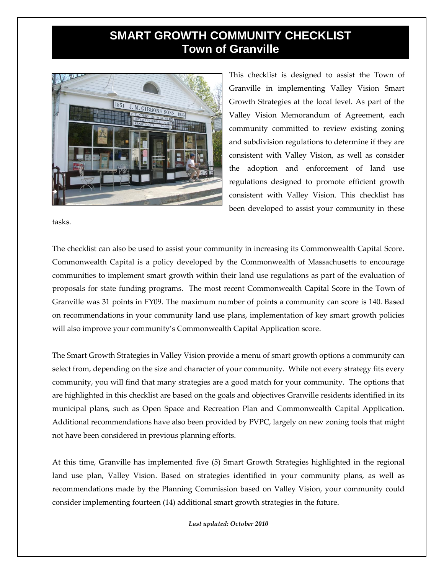## **SMART GROWTH COMMUNITY CHECKLIST Town of Granville**



This checklist is designed to assist the Town of Granville in implementing Valley Vision Smart Growth Strategies at the local level. As part of the Valley Vision Memorandum of Agreement, each community committed to review existing zoning and subdivision regulations to determine if they are consistent with Valley Vision, as well as consider the adoption and enforcement of land use regulations designed to promote efficient growth consistent with Valley Vision. This checklist has been developed to assist your community in these

tasks.

The checklist can also be used to assist your community in increasing its Commonwealth Capital Score. Commonwealth Capital is a policy developed by the Commonwealth of Massachusetts to encourage communities to implement smart growth within their land use regulations as part of the evaluation of proposals for state funding programs. The most recent Commonwealth Capital Score in the Town of Granville was 31 points in FY09. The maximum number of points a community can score is 140. Based on recommendations in your community land use plans, implementation of key smart growth policies will also improve your community's Commonwealth Capital Application score.

The Smart Growth Strategies in Valley Vision provide a menu of smart growth options a community can select from, depending on the size and character of your community. While not every strategy fits every community, you will find that many strategies are a good match for your community. The options that are highlighted in this checklist are based on the goals and objectives Granville residents identified in its municipal plans, such as Open Space and Recreation Plan and Commonwealth Capital Application. Additional recommendations have also been provided by PVPC, largely on new zoning tools that might not have been considered in previous planning efforts.

At this time, Granville has implemented five (5) Smart Growth Strategies highlighted in the regional land use plan, Valley Vision. Based on strategies identified in your community plans, as well as recommendations made by the Planning Commission based on Valley Vision, your community could consider implementing fourteen (14) additional smart growth strategies in the future.

*Last updated: October 2010*